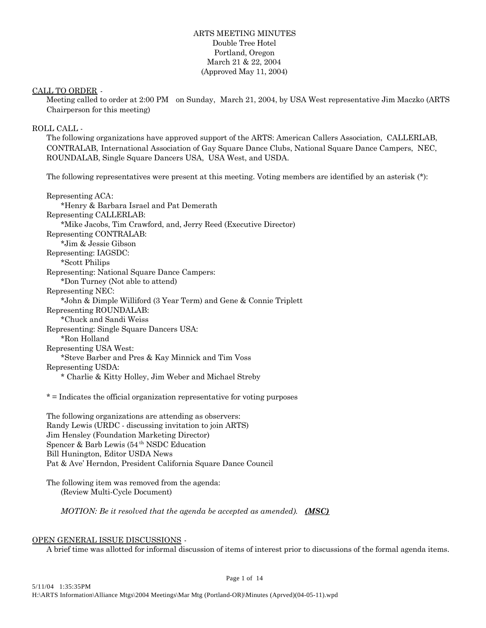# ARTS MEETING MINUTES Double Tree Hotel Portland, Oregon March 21 & 22, 2004 (Approved May 11, 2004)

#### CALL TO ORDER -

Meeting called to order at 2:00 PM on Sunday, March 21, 2004, by USA West representative Jim Maczko (ARTS Chairperson for this meeting)

#### ROLL CALL -

The following organizations have approved support of the ARTS: American Callers Association, CALLERLAB, CONTRALAB, International Association of Gay Square Dance Clubs, National Square Dance Campers, NEC, ROUNDALAB, Single Square Dancers USA, USA West, and USDA.

The following representatives were present at this meeting. Voting members are identified by an asterisk (\*):

Representing ACA: \*Henry & Barbara Israel and Pat Demerath Representing CALLERLAB: \*Mike Jacobs, Tim Crawford, and, Jerry Reed (Executive Director) Representing CONTRALAB: \*Jim & Jessie Gibson Representing: IAGSDC: \*Scott Philips Representing: National Square Dance Campers: \*Don Turney (Not able to attend) Representing NEC: \*John & Dimple Williford (3 Year Term) and Gene & Connie Triplett Representing ROUNDALAB: \*Chuck and Sandi Weiss Representing: Single Square Dancers USA: \*Ron Holland Representing USA West: \*Steve Barber and Pres & Kay Minnick and Tim Voss Representing USDA: \* Charlie & Kitty Holley, Jim Weber and Michael Streby

\* = Indicates the official organization representative for voting purposes

The following organizations are attending as observers: Randy Lewis (URDC - discussing invitation to join ARTS) Jim Hensley (Foundation Marketing Director) Spencer & Barb Lewis (54 th NSDC Education Bill Hunington, Editor USDA News Pat & Ave' Herndon, President California Square Dance Council

The following item was removed from the agenda: (Review Multi-Cycle Document)

*MOTION: Be it resolved that the agenda be accepted as amended). (MSC)*

#### OPEN GENERAL ISSUE DISCUSSIONS -

A brief time was allotted for informal discussion of items of interest prior to discussions of the formal agenda items.

Page 1 of 14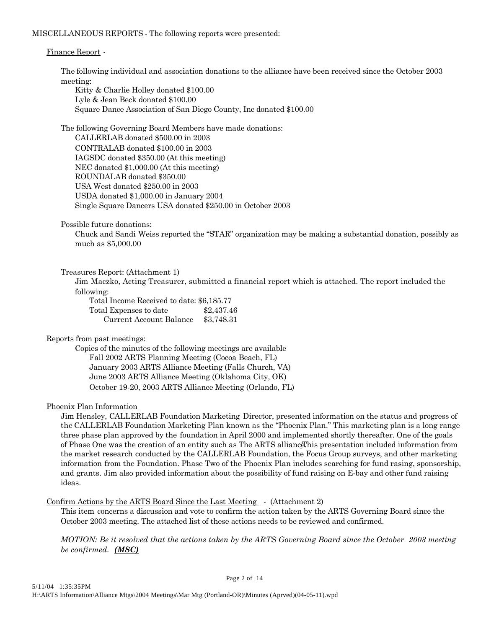#### MISCELLANEOUS REPORTS - The following reports were presented:

#### Finance Report -

The following individual and association donations to the alliance have been received since the October 2003 meeting:

Kitty & Charlie Holley donated \$100.00 Lyle & Jean Beck donated \$100.00 Square Dance Association of San Diego County, Inc donated \$100.00

The following Governing Board Members have made donations:

CALLERLAB donated \$500.00 in 2003 CONTRALAB donated \$100.00 in 2003 IAGSDC donated \$350.00 (At this meeting) NEC donated \$1,000.00 (At this meeting) ROUNDALAB donated \$350.00 USA West donated \$250.00 in 2003 USDA donated \$1,000.00 in January 2004 Single Square Dancers USA donated \$250.00 in October 2003

Possible future donations:

Chuck and Sandi Weiss reported the "STAR" organization may be making a substantial donation, possibly as much as \$5,000.00

#### Treasures Report: (Attachment 1)

Jim Maczko, Acting Treasurer, submitted a financial report which is attached. The report included the following:

Total Income Received to date: \$6,185.77 Total Expenses to date \$2,437.46 Current Account Balance \$3,748.31

Reports from past meetings:

Copies of the minutes of the following meetings are available Fall 2002 ARTS Planning Meeting (Cocoa Beach, FL) January 2003 ARTS Alliance Meeting (Falls Church, VA) June 2003 ARTS Alliance Meeting (Oklahoma City, OK) October 19-20, 2003 ARTS Alliance Meeting (Orlando, FL)

#### Phoenix Plan Information

Jim Hensley, CALLERLAB Foundation Marketing Director, presented information on the status and progress of the CALLERLAB Foundation Marketing Plan known as the "Phoenix Plan." This marketing plan is a long range three phase plan approved by the foundation in April 2000 and implemented shortly thereafter. One of the goals of Phase One was the creation of an entity such as The ARTS alliance his presentation included information from the market research conducted by the CALLERLAB Foundation, the Focus Group surveys, and other marketing information from the Foundation. Phase Two of the Phoenix Plan includes searching for fund rasing, sponsorship, and grants. Jim also provided information about the possibility of fund raising on E-bay and other fund raising ideas.

Confirm Actions by the ARTS Board Since the Last Meeting - (Attachment 2)

This item concerns a discussion and vote to confirm the action taken by the ARTS Governing Board since the October 2003 meeting. The attached list of these actions needs to be reviewed and confirmed.

*MOTION: Be it resolved that the actions taken by the ARTS Governing Board since the October 2003 meeting be confirmed. (MSC)*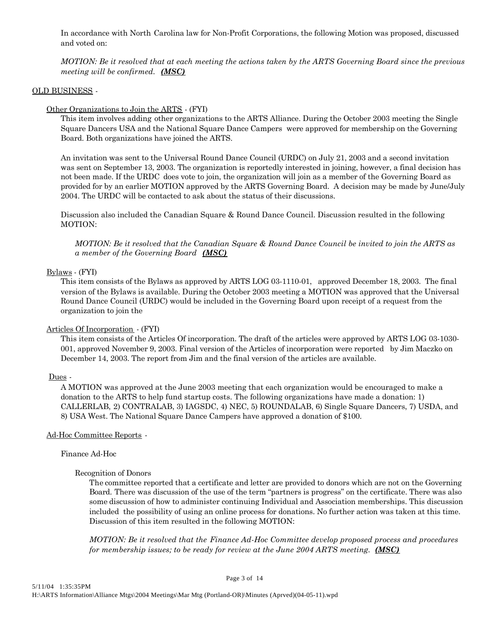In accordance with North Carolina law for Non-Profit Corporations, the following Motion was proposed, discussed and voted on:

*MOTION: Be it resolved that at each meeting the actions taken by the ARTS Governing Board since the previous meeting will be confirmed. (MSC)*

#### OLD BUSINESS -

#### Other Organizations to Join the ARTS - (FYI)

This item involves adding other organizations to the ARTS Alliance. During the October 2003 meeting the Single Square Dancers USA and the National Square Dance Campers were approved for membership on the Governing Board. Both organizations have joined the ARTS.

An invitation was sent to the Universal Round Dance Council (URDC) on July 21, 2003 and a second invitation was sent on September 13, 2003. The organization is reportedly interested in joining, however, a final decision has not been made. If the URDC does vote to join, the organization will join as a member of the Governing Board as provided for by an earlier MOTION approved by the ARTS Governing Board. A decision may be made by June/July 2004. The URDC will be contacted to ask about the status of their discussions.

Discussion also included the Canadian Square & Round Dance Council. Discussion resulted in the following MOTION:

*MOTION: Be it resolved that the Canadian Square & Round Dance Council be invited to join the ARTS as a member of the Governing Board (MSC)*

#### Bylaws - (FYI)

This item consists of the Bylaws as approved by ARTS LOG 03-1110-01, approved December 18, 2003. The final version of the Bylaws is available. During the October 2003 meeting a MOTION was approved that the Universal Round Dance Council (URDC) would be included in the Governing Board upon receipt of a request from the organization to join the

#### Articles Of Incorporation - (FYI)

This item consists of the Articles Of incorporation. The draft of the articles were approved by ARTS LOG 03-1030- 001, approved November 9, 2003. Final version of the Articles of incorporation were reported by Jim Maczko on December 14, 2003. The report from Jim and the final version of the articles are available.

#### Dues -

A MOTION was approved at the June 2003 meeting that each organization would be encouraged to make a donation to the ARTS to help fund startup costs. The following organizations have made a donation: 1) CALLERLAB, 2) CONTRALAB, 3) IAGSDC, 4) NEC, 5) ROUNDALAB, 6) Single Square Dancers, 7) USDA, and 8) USA West. The National Square Dance Campers have approved a donation of \$100.

#### Ad-Hoc Committee Reports -

#### Finance Ad-Hoc

#### Recognition of Donors

The committee reported that a certificate and letter are provided to donors which are not on the Governing Board. There was discussion of the use of the term "partners is progress" on the certificate. There was also some discussion of how to administer continuing Individual and Association memberships. This discussion included the possibility of using an online process for donations. No further action was taken at this time. Discussion of this item resulted in the following MOTION:

*MOTION: Be it resolved that the Finance Ad-Hoc Committee develop proposed process and procedures for membership issues; to be ready for review at the June 2004 ARTS meeting. (MSC)*

#### Page 3 of 14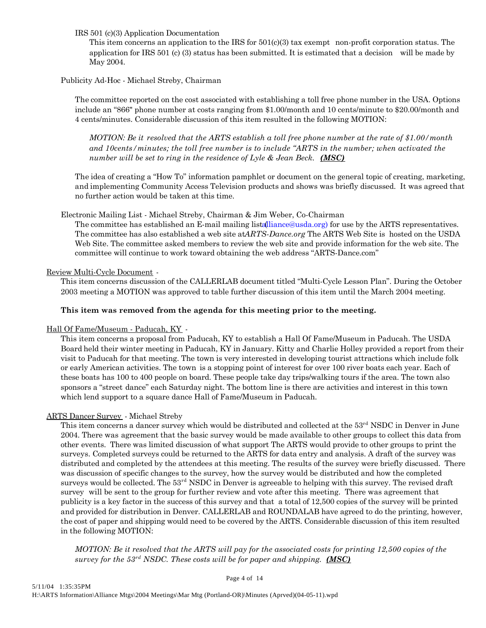IRS 501 (c)(3) Application Documentation

This item concerns an application to the IRS for 501(c)(3) tax exempt non-profit corporation status. The application for IRS 501 (c) (3) status has been submitted. It is estimated that a decision will be made by May 2004.

# Publicity Ad-Hoc - Michael Streby, Chairman

The committee reported on the cost associated with establishing a toll free phone number in the USA. Options include an "866" phone number at costs ranging from \$1.00/month and 10 cents/minute to \$20.00/month and 4 cents/minutes. Considerable discussion of this item resulted in the following MOTION:

*MOTION: Be it resolved that the ARTS establish a toll free phone number at the rate of \$1.00/month and 10cents/minutes; the toll free number is to include "ARTS in the number; when activated the number will be set to ring in the residence of Lyle & Jean Beck. (MSC)*

The idea of creating a "How To" information pamphlet or document on the general topic of creating, marketing, and implementing Community Access Television products and shows was briefly discussed. It was agreed that no further action would be taken at this time.

Electronic Mailing List - Michael Streby, Chairman & Jim Weber, Co-Chairman

The committee has established an E-mail mailing list alliance @usda.org) for use by the ARTS representatives. The committee has also established a web site at *ARTS-Dance.org* The ARTS Web Site is hosted on the USDA Web Site. The committee asked members to review the web site and provide information for the web site. The committee will continue to work toward obtaining the web address "ARTS-Dance.com"

# Review Multi-Cycle Document -

This item concerns discussion of the CALLERLAB document titled "Multi-Cycle Lesson Plan". During the October 2003 meeting a MOTION was approved to table further discussion of this item until the March 2004 meeting.

# **This item was removed from the agenda for this meeting prior to the meeting.**

# Hall Of Fame/Museum - Paducah, KY -

This item concerns a proposal from Paducah, KY to establish a Hall Of Fame/Museum in Paducah. The USDA Board held their winter meeting in Paducah, KY in January. Kitty and Charlie Holley provided a report from their visit to Paducah for that meeting. The town is very interested in developing tourist attractions which include folk or early American activities. The town is a stopping point of interest for over 100 river boats each year. Each of these boats has 100 to 400 people on board. These people take day trips/walking tours if the area. The town also sponsors a "street dance" each Saturday night. The bottom line is there are activities and interest in this town which lend support to a square dance Hall of Fame/Museum in Paducah.

# ARTS Dancer Survey - Michael Streby

This item concerns a dancer survey which would be distributed and collected at the 53<sup>rd</sup> NSDC in Denver in June 2004. There was agreement that the basic survey would be made available to other groups to collect this data from other events. There was limited discussion of what support The ARTS would provide to other groups to print the surveys. Completed surveys could be returned to the ARTS for data entry and analysis. A draft of the survey was distributed and completed by the attendees at this meeting. The results of the survey were briefly discussed. There was discussion of specific changes to the survey, how the survey would be distributed and how the completed surveys would be collected. The 53<sup>rd</sup> NSDC in Denver is agreeable to helping with this survey. The revised draft survey will be sent to the group for further review and vote after this meeting. There was agreement that publicity is a key factor in the success of this survey and that a total of 12,500 copies of the survey will be printed and provided for distribution in Denver. CALLERLAB and ROUNDALAB have agreed to do the printing, however, the cost of paper and shipping would need to be covered by the ARTS. Considerable discussion of this item resulted in the following MOTION:

*MOTION: Be it resolved that the ARTS will pay for the associated costs for printing 12,500 copies of the survey for the 53rd NSDC. These costs will be for paper and shipping. (MSC)*

Page 4 of 14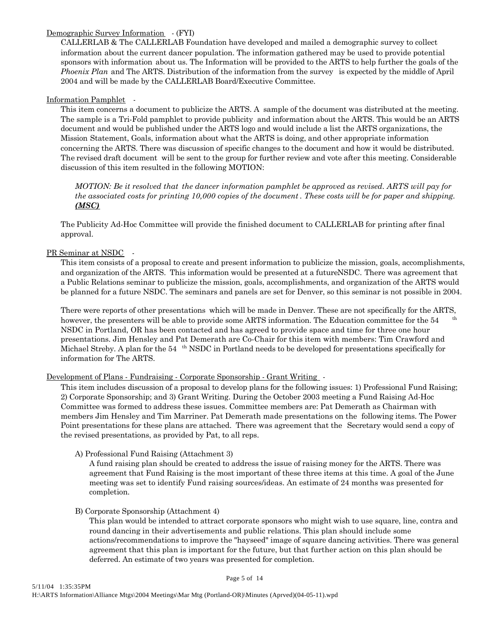#### Demographic Survey Information - (FYI)

CALLERLAB & The CALLERLAB Foundation have developed and mailed a demographic survey to collect information about the current dancer population. The information gathered may be used to provide potential sponsors with information about us. The Information will be provided to the ARTS to help further the goals of the *Phoenix Plan* and The ARTS. Distribution of the information from the survey is expected by the middle of April 2004 and will be made by the CALLERLAB Board/Executive Committee.

### Information Pamphlet -

This item concerns a document to publicize the ARTS. A sample of the document was distributed at the meeting. The sample is a Tri-Fold pamphlet to provide publicity and information about the ARTS. This would be an ARTS document and would be published under the ARTS logo and would include a list the ARTS organizations, the Mission Statement, Goals, information about what the ARTS is doing, and other appropriate information concerning the ARTS. There was discussion of specific changes to the document and how it would be distributed. The revised draft document will be sent to the group for further review and vote after this meeting. Considerable discussion of this item resulted in the following MOTION:

*MOTION: Be it resolved that the dancer information pamphlet be approved as revised. ARTS will pay for the associated costs for printing 10,000 copies of the document . These costs will be for paper and shipping. (MSC)*

The Publicity Ad-Hoc Committee will provide the finished document to CALLERLAB for printing after final approval.

# PR Seminar at NSDC -

This item consists of a proposal to create and present information to publicize the mission, goals, accomplishments, and organization of the ARTS. This information would be presented at a future NSDC. There was agreement that a Public Relations seminar to publicize the mission, goals, accomplishments, and organization of the ARTS would be planned for a future NSDC. The seminars and panels are set for Denver, so this seminar is not possible in 2004.

There were reports of other presentations which will be made in Denver. These are not specifically for the ARTS, however, the presenters will be able to provide some ARTS information. The Education committee for the 54 NSDC in Portland, OR has been contacted and has agreed to provide space and time for three one hour presentations. Jim Hensley and Pat Demerath are Co-Chair for this item with members: Tim Crawford and Michael Streby. A plan for the 54 <sup>th</sup> NSDC in Portland needs to be developed for presentations specifically for information for The ARTS.

#### Development of Plans - Fundraising - Corporate Sponsorship - Grant Writing -

This item includes discussion of a proposal to develop plans for the following issues: 1) Professional Fund Raising; 2) Corporate Sponsorship; and 3) Grant Writing. During the October 2003 meeting a Fund Raising Ad-Hoc Committee was formed to address these issues. Committee members are: Pat Demerath as Chairman with members Jim Hensley and Tim Marriner. Pat Demerath made presentations on the following items. The Power Point presentations for these plans are attached. There was agreement that the Secretary would send a copy of the revised presentations, as provided by Pat, to all reps.

#### A) Professional Fund Raising (Attachment 3)

A fund raising plan should be created to address the issue of raising money for the ARTS. There was agreement that Fund Raising is the most important of these three items at this time. A goal of the June meeting was set to identify Fund raising sources/ideas. An estimate of 24 months was presented for completion.

#### B) Corporate Sponsorship (Attachment 4)

This plan would be intended to attract corporate sponsors who might wish to use square, line, contra and round dancing in their advertisements and public relations. This plan should include some actions/recommendations to improve the "hayseed" image of square dancing activities. There was general agreement that this plan is important for the future, but that further action on this plan should be deferred. An estimate of two years was presented for completion.

Page 5 of 14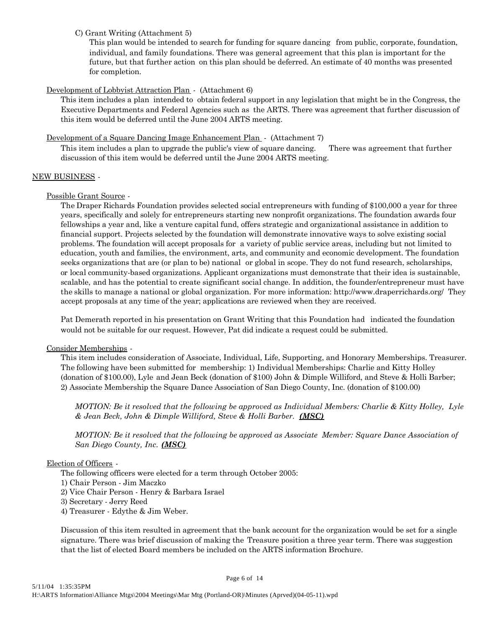### C) Grant Writing (Attachment 5)

This plan would be intended to search for funding for square dancing from public, corporate, foundation, individual, and family foundations. There was general agreement that this plan is important for the future, but that further action on this plan should be deferred. An estimate of 40 months was presented for completion.

# Development of Lobbyist Attraction Plan - (Attachment 6)

This item includes a plan intended to obtain federal support in any legislation that might be in the Congress, the Executive Departments and Federal Agencies such as the ARTS. There was agreement that further discussion of this item would be deferred until the June 2004 ARTS meeting.

# Development of a Square Dancing Image Enhancement Plan - (Attachment 7)

This item includes a plan to upgrade the public's view of square dancing. There was agreement that further discussion of this item would be deferred until the June 2004 ARTS meeting.

#### NEW BUSINESS -

# Possible Grant Source -

The Draper Richards Foundation provides selected social entrepreneurs with funding of \$100,000 a year for three years, specifically and solely for entrepreneurs starting new nonprofit organizations. The foundation awards four fellowships a year and, like a venture capital fund, offers strategic and organizational assistance in addition to financial support. Projects selected by the foundation will demonstrate innovative ways to solve existing social problems. The foundation will accept proposals for a variety of public service areas, including but not limited to education, youth and families, the environment, arts, and community and economic development. The foundation seeks organizations that are (or plan to be) national or global in scope. They do not fund research, scholarships, or local community-based organizations. Applicant organizations must demonstrate that their idea is sustainable, scalable, and has the potential to create significant social change. In addition, the founder/entrepreneur must have the skills to manage a national or global organization. For more information: http://www.draperrichards.org/ They accept proposals at any time of the year; applications are reviewed when they are received.

Pat Demerath reported in his presentation on Grant Writing that this Foundation had indicated the foundation would not be suitable for our request. However, Pat did indicate a request could be submitted.

#### Consider Memberships -

This item includes consideration of Associate, Individual, Life, Supporting, and Honorary Memberships. Treasurer. The following have been submitted for membership: 1) Individual Memberships: Charlie and Kitty Holley (donation of \$100.00), Lyle and Jean Beck (donation of \$100) John & Dimple Williford, and Steve & Holli Barber; 2) Associate Membership the Square Dance Association of San Diego County, Inc. (donation of \$100.00)

*MOTION: Be it resolved that the following be approved as Individual Members: Charlie & Kitty Holley, Lyle & Jean Beck, John & Dimple Williford, Steve & Holli Barber. (MSC)*

*MOTION: Be it resolved that the following be approved as Associate Member: Square Dance Association of San Diego County, Inc. (MSC)*

#### Election of Officers -

The following officers were elected for a term through October 2005:

- 1) Chair Person Jim Maczko
- 2) Vice Chair Person Henry & Barbara Israel
- 3) Secretary Jerry Reed
- 4) Treasurer Edythe & Jim Weber.

Discussion of this item resulted in agreement that the bank account for the organization would be set for a single signature. There was brief discussion of making the Treasure position a three year term. There was suggestion that the list of elected Board members be included on the ARTS information Brochure.

#### Page 6 of 14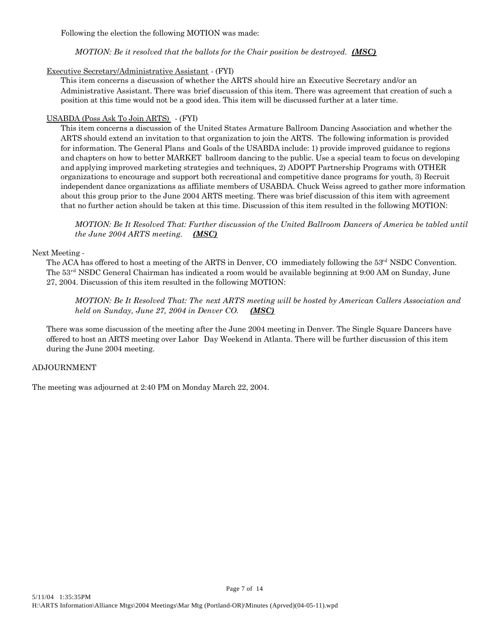Following the election the following MOTION was made:

# *MOTION: Be it resolved that the ballots for the Chair position be destroyed. (MSC)*

# Executive Secretary/Administrative Assistant - (FYI)

This item concerns a discussion of whether the ARTS should hire an Executive Secretary and/or an Administrative Assistant. There was brief discussion of this item. There was agreement that creation of such a position at this time would not be a good idea. This item will be discussed further at a later time.

# USABDA (Poss Ask To Join ARTS) - (FYI)

This item concerns a discussion of the United States Armature Ballroom Dancing Association and whether the ARTS should extend an invitation to that organization to join the ARTS. The following information is provided for information. The General Plans and Goals of the USABDA include: 1) provide improved guidance to regions and chapters on how to better MARKET ballroom dancing to the public. Use a special team to focus on developing and applying improved marketing strategies and techniques, 2) ADOPT Partnership Programs with OTHER organizations to encourage and support both recreational and competitive dance programs for youth, 3) Recruit independent dance organizations as affiliate members of USABDA. Chuck Weiss agreed to gather more information about this group prior to the June 2004 ARTS meeting. There was brief discussion of this item with agreement that no further action should be taken at this time. Discussion of this item resulted in the following MOTION:

*MOTION: Be It Resolved That: Further discussion of the United Ballroom Dancers of America be tabled until the June 2004 ARTS meeting. (MSC)*

# Next Meeting -

The ACA has offered to host a meeting of the ARTS in Denver, CO immediately following the 53<sup>rd</sup> NSDC Convention. The 53rd NSDC General Chairman has indicated a room would be available beginning at 9:00 AM on Sunday, June 27, 2004. Discussion of this item resulted in the following MOTION:

*MOTION: Be It Resolved That: The next ARTS meeting will be hosted by American Callers Association and held on Sunday, June 27, 2004 in Denver CO. (MSC)*

There was some discussion of the meeting after the June 2004 meeting in Denver. The Single Square Dancers have offered to host an ARTS meeting over Labor Day Weekend in Atlanta. There will be further discussion of this item during the June 2004 meeting.

Page 7 of 14

# ADJOURNMENT

The meeting was adjourned at 2:40 PM on Monday March 22, 2004.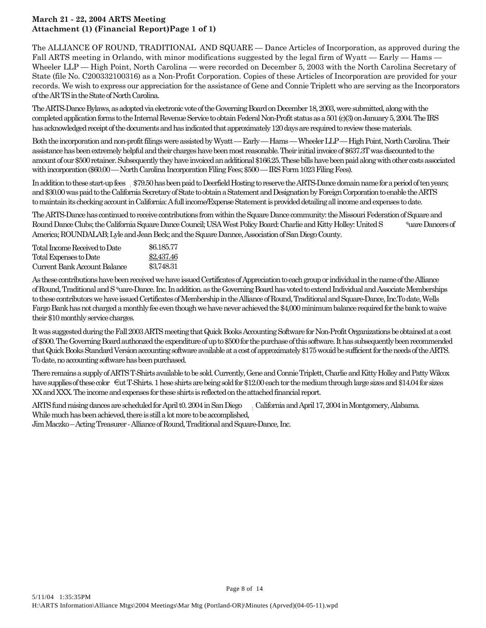# **March 21 - 22, 2004 ARTS Meeting Attachment (1) (Financial Report)Page 1 of 1)**

The ALLIANCE OF ROUND, TRADITIONAL AND SQUARE — Dance Articles of Incorporation, as approved during the Fall ARTS meeting in Orlando, with minor modifications suggested by the legal firm of Wyatt — Early — Hams – Wheeler LLP — High Point, North Carolina — were recorded on December 5, 2003 with the North Carolina Secretary of State (file No. C200332100316) as a Non-Profit Corporation. Copies of these Articles of Incorporation are provided for your records. We wish to express our appreciation for the assistance of Gene and Connie Triplett who are serving as the Incorporators of the AR TS in the State of North Carolina.

The ARTS-Dance Bylaws, as adopted via electronic vote of the Governing Board on December 18, 2003, were submitted, along with the completed application forms to the Internal Revenue Service to obtain Federal Non-Profit status as a 501 (c)(3) on January 5, 2004. The IRS has acknowledged receipt of the documents and has indicated that approximately 120 days are required to review these materials.

Both the incorporation and non-profit filings were assisted by Wyatt — Early — Hams — Wheeler LLP — High Point, North Carolina. Their assistance has been extremely helpful and their charges have been most reasonable. Their initial invoice of \$637.3T was discounted to the amount of our \$500 retainer. Subsequently they have invoiced an additional \$166.25. These bills have been paid along with other costs associated with incorporation (\$60.00 — North Carolina Incorporation Filing Fees; \$500 — IRS Form 1023 Filing Fees).

In addition to these start-up fees : \$79.50 has been paid to Deerfield Hosting to reserve the ARTS-Dance domain name for a period of ten years; and \$30.00 was paid to the California Secretary of State to obtain a Statement and Designation by Foreign Corporation to enable the ARTS to maintain its checking account in California: A full income/Expense Statement is provided detailing all income and expenses to date.

The ARTS-Dance has continued to receive contributions from within the Square Dance community: the Missouri Federation of Square and Round Dance Clubs; the California Square Dance Council; USA West Policy Board: Charlie and Kitty Holley: United S <sup>quare</sup> Dancers of America; ROUNDALAB; Lyle and Jean Beck; and the Square Dannce, Association of San Diego County.

| Total Income Received to Date | \$6.185.77 |
|-------------------------------|------------|
| Total Expenses to Date        | \$2,437.46 |
| Current Bank Account Balance  | \$3.748.31 |

As these contributions have been received we have issued Certificates of Appreciation to each group or individual in the name of the Alliance of Round, Traditional and S<sup>quare-Dance.</sup> Inc. In addition. as the Governing Board has voted to extend Individual and Associate Memberships to these contributors we have issued Certificates of Membership in the Alliance of Round, Traditional and Square-Dance, Inc.To date, Wells Fargo Bank has not charged a monthly fee even though we have never achieved the \$4,000 minimum balance required for the bank to waive their \$10 monthly service charges.

It was suggested during the Fall 2003 ARTS meeting that Quick Books Accounting Software for Non-Profit Organizations be obtained at a cost of \$500. The Governing Board authonzed the expenditure of up to \$500 for the purchase of this software. It has subsequently been recommended that Quick Books Standard Version accounting software available at a cost of approximately \$175 wouid be sufficient for the needs of the ARTS. To date, no accounting software has been purchased.

There remains a supply of ARTS T-Shirts available to be sold. Currently, Gene and Connie Triplett, Charlie and Kitty Holley and Patty Wilcox have supplies of these color  $\epsilon_{\text{ut}}$  T-Shirts. 1 hese shirts are being sold for \$12.00 each tor the medium through large sizes and \$14.04 for sizes XX and XXX. The income and expenses for these shirts is reflected on the attached financial report.

Page 8 of 14

ARTS fund raising dances are scheduled for April t0. 2004 in San Diego : California and April 17, 2004 in Montgomery, Alabama. While much has been achieved, there is still a lot more to be accomplished, Jim Maczko – Acting Treasurer - Alliance of Round, Traditional and Square-Dance, Inc.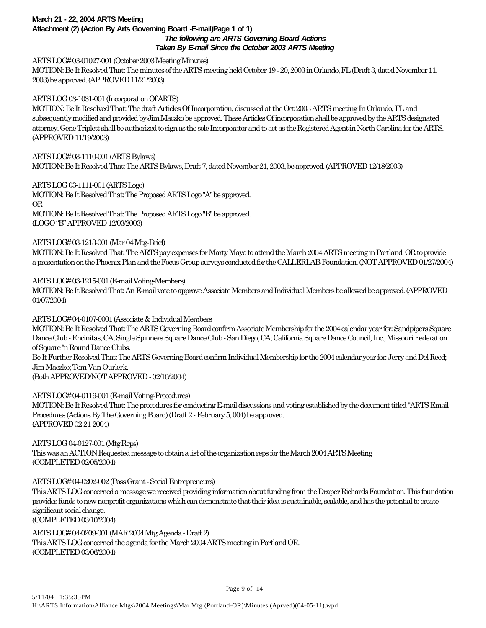#### **March 21 - 22, 2004 ARTS Meeting Attachment (2) (Action By Arts Governing Board -E-mail)Page 1 of 1)** *The following are ARTS Governing Board Actions Taken By E-mail Since the October 2003 ARTS Meeting*

ARTS LOG# 03-01027-001 (October 2003 Meeting Minutes)

MOTION: Be It Resolved That: The minutes of the ARTS meeting held October 19 - 20, 2003 in Orlando, FL (Draft 3, dated November 11, 2003) be approved. (APPROVED 11/21/2003)

ARTS LOG 03-1031-001 (Incorporation Of ARTS)

MOTION: Be It Resolved That: The draft Articles Of Incorporation, discussed at the Oct 2003 ARTS meeting In Orlando, FL and subsequently modified and provided by Jim Maczko be approved. These Articles Of incorporation shall be approved by the ARTS designated attorney. Gene Triplett shall be authorized to sign as the sole Incorporator and to act as the Registered Agent in North Carolina for the ARTS. (APPROVED 11/19/2003)

ARTS LOG# 03-1110-001 (ARTS Bylaws) MOTION: Be It Resolved That: The ARTS Bylaws, Draft 7, dated November 21, 2003, be approved. (APPROVED 12/18/2003)

ARTS LOG 03-1111-001 (ARTS Logo) MOTION: Be It Resolved That: The Proposed ARTS Logo "A" be approved. OR MOTION: Be It Resolved That: The Proposed ARTS Logo "B" be approved. (LOGO "B" APPROVED 12/03/2003)

# ARTS LOG# 03-1213-001 (Mar 04 Mtg-Brief)

MOTION: Be It Resolved That: The ARTS pay expenses for Marty Mayo to attend the March 2004 ARTS meeting in Portland, OR to provide a presentation on the Phoenix Plan and the Focus Group surveys conducted for the CALLERLAB Foundation. (NOT APPROVED 01/27/2004)

# ARTS LOG# 03-1215-001 (E-mail Voting-Members)

MOTION: Be It Resolved That: An E-mail vote to approve Associate Members and Individual Members be allowed be approved. (APPROVED 01/07/2004)

ARTS LOG# 04-0107-0001 (Associate & Individual Members MOTION: Be It Resolved That: The ARTS Governing Board confirm Associate Membership for the 2004 calendar year for: Sandpipers Square Dance Club - Encinitas, CA; Single Spinners Square Dance Club - San Diego, CA; California Square Dance Council, Inc.; Missouri Federation of Square ''n Round Dance Clubs. Be It Further Resolved That: The ARTS Governing Board confirm Individual Membership for the 2004 calendar year for: Jerry and Del Reed; Jim Maczko; Tom Van Ourlerk. (Both APPROVED/NOT APPROVED - 02/10/2004)

ARTS LOG# 04-0119-001 (E-mail Voting-Procedures) MOTION: Be It Resolved That: The procedures for conducting E-mail discussions and voting established by the document titled "ARTS Email Procedures (Actions By The Governing Board) (Draft 2 - February 5, 004) be approved. (APPROVED 02-21-2004)

ARTS LOG 04-0127-001 (Mtg Reps) This was an ACTION Requested message to obtain a list of the organization reps for the March 2004 ARTS Meeting (COMPLETED 02/05/2004)

#### ARTS LOG# 04-0202-002 (Poss Grant - Social Entrepreneurs)

This ARTS LOG concerned a message we received providing information about funding from the Draper Richards Foundation. This foundation provides funds to new nonprofit organizations which can demonstrate that their idea is sustainable, scalable, and has the potential to create significant social change. (COMPLETED 03/10/2004)

ARTS LOG# 04-0209-001 (MAR 2004 Mtg Agenda - Draft 2) This ARTS LOG concerned the agenda for the March 2004 ARTS meeting in Portland OR. (COMPLETED 03/06/2004)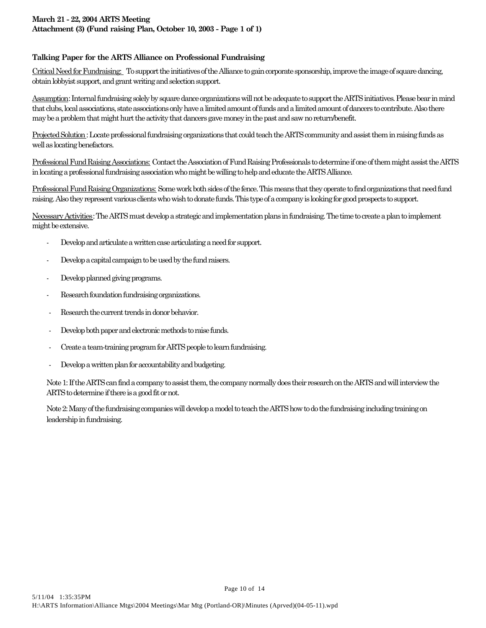# **March 21 - 22, 2004 ARTS Meeting Attachment (3) (Fund raising Plan, October 10, 2003 - Page 1 of 1)**

# **Talking Paper for the ARTS Alliance on Professional Fundraising**

Critical Need for Fundraising: To support the initiatives of the Alliance to gain corporate sponsorship, improve the image of square dancing, obtain lobbyist support, and grant writing and selection support.

Assumption: Internal fundraising solely by square dance organizations will not be adequate to support the ARTS initiatives. Please bear in mind that clubs, local associations, state associations only have a limited amount of funds and a limited amount of dancers to contribute. Also there may be a problem that might hurt the activity that dancers gave money in the past and saw no return/benefit.

Projected Solution: Locate professional fundraising organizations that could teach the ARTS community and assist them in raising funds as well as locating benefactors.

Professional Fund Raising Associations: Contact the Association of Fund Raising Professionals to determine if one of them might assist the ARTS in locating a professional fundraising association who might be willing to help and educate the ARTS Alliance.

Professional Fund Raising Organizations: Some work both sides of the fence. This means that they operate to find organizations that need fund raising. Also they represent various clients who wish to donate funds. This type of a company is looking for good prospects to support.

Necessary Activities: The ARTS must develop a strategic and implementation plans in fundraising. The time to create a plan to implement might be extensive.

- Develop and articulate a written case articulating a need for support.
- Develop a capital campaign to be used by the fund raisers.
- Develop planned giving programs.
- Research foundation fundraising organizations.
- Research the current trends in donor behavior.
- Develop both paper and electronic methods to raise funds.
- Create a team-training program for ARTS people to learn fundraising.
- Develop a written plan for accountability and budgeting.

Note 1: If the ARTS can find a company to assist them, the company normally does their research on the ARTS and will interview the ARTS to determine if there is a good fit or not.

Page 10 of 14

Note 2: Many of the fundraising companies will develop a model to teach the ARTS how to do the fundraising including training on leadership in fundraising.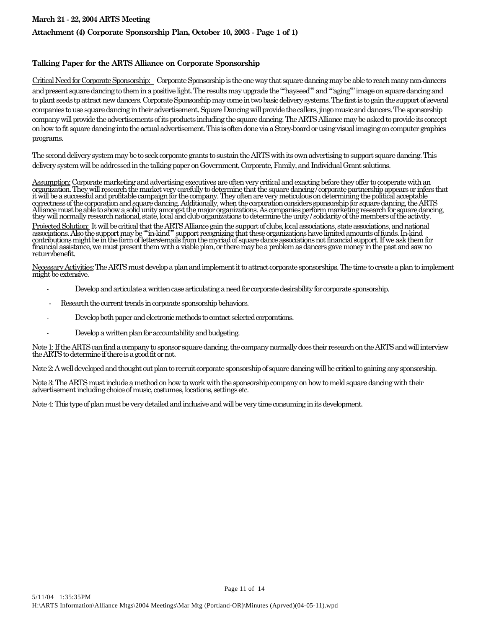# **Attachment (4) Corporate Sponsorship Plan, October 10, 2003 - Page 1 of 1)**

## **Talking Paper for the ARTS Alliance on Corporate Sponsorship**

Critical Need for Corporate Sponsorship: Corporate Sponsorship is the one way that square dancing may be able to reach many non-dancers and present square dancing to them in a positive light. The results may upgrade the ""hayseed"" and ""aging"" image on square dancing and to plant seeds tp attract new dancers. Corporate Sponsorship may come in two basic delivery systems. The first is to gain the support of several companies to use square dancing in their advertisement. Square Dancing will provide the callers, jingo music and dancers. The sponsorship company will provide the advertisements of its products including the square dancing. The ARTS Alliance may be asked to provide its concept on how to fit square dancing into the actual advertisement. This is often done via a Story-board or using visual imaging on computer graphics programs.

The second delivery system may be to seek corporate grants to sustain the ARTS with its own advertising to support square dancing. This delivery system will be addressed in the talking paper on Government, Corporate, Family, and Individual Grant solutions.

Assumption: Corporate marketing and advertising executives are often very critical and exacting before they offer to cooperate with an organization. They will research the market very carefully to determine that the square dancing / corporate partnership appears or infers that it will be a successful and profitable campaign for the company. They often are very meticulous on determining the political acceptable correctness of the corporation and square dancing. Additionally, when the corporation considers sponsorship for square dancing, the ARTS Alliance must be able to show a solid unity amongst the major organizations. As companies perform marketing research for square dancing, they will normally research national, state, local and club organizations to determine the unity / solidarity of the members of the activity.

<u>Projected Solution:</u> It will be critical that the ARTS Alliance gain the support of clubs, local associations, state associations, and national associations. Also the support may be ""in-kind"" support recognizing that these organizations have limited amounts of funds. In-kind contributions might be in the form of letters/emails from the myriad of square dance associations not financial support. If we ask them for financial assistance, we must present them with a viable plan, or there may be a problem as dancers gave money in the past and saw no return/benefit.

Necessary Activities: The ARTS must develop a plan and implement it to attract corporate sponsorships. The time to create a plan to implement might be extensive.

- Develop and articulate a written case articulating a need for corporate desirability for corporate sponsorship.
- Research the current trends in corporate sponsorship behaviors.
- Develop both paper and electronic methods to contact selected corporations.
- Develop a written plan for accountability and budgeting.

Note 1: If the ARTS can find a company to sponsor square dancing, the company normally does their research on the ARTS and will interview the ARTS to determine if there is a good fit or not.

Page 11 of 14

Note 2: A well developed and thought out plan to recruit corporate sponsorship of square dancing will be critical to gaining any sponsorship.

Note 3: The ARTS must include a method on how to work with the sponsorship company on how to meld square dancing with their advertisement including choice of music, costumes, locations, settings etc.

Note 4: This type of plan must be very detailed and inclusive and will be very time consuming in its development.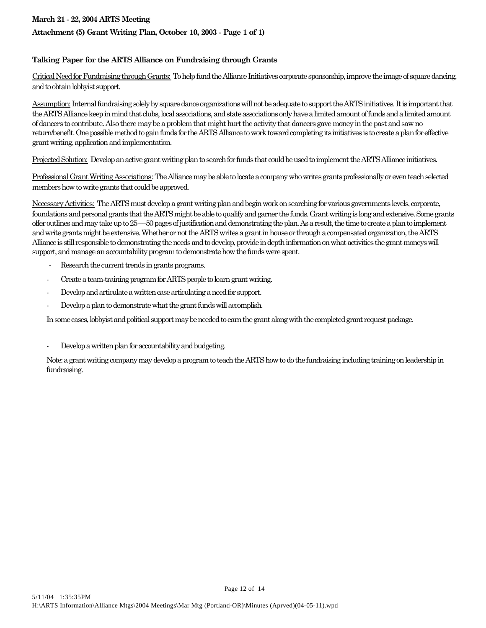# **Attachment (5) Grant Writing Plan, October 10, 2003 - Page 1 of 1)**

# **Talking Paper for the ARTS Alliance on Fundraising through Grants**

Critical Need for Fundraising through Grants: To help fund the Alliance Initiatives corporate sponsorship, improve the image of square dancing, and to obtain lobbyist support.

Assumption: Internal fundraising solely by square dance organizations will not be adequate to support the ARTS initiatives. It is important that the ARTS Alliance keep in mind that clubs, local associations, and state associations only have a limited amount of funds and a limited amount of dancers to contribute. Also there may be a problem that might hurt the activity that dancers gave money in the past and saw no return/benefit. One possible method to gain funds for the ARTS Alliance to work toward completing its initiatives is to create a plan for effective grant writing, application and implementation.

Projected Solution: Develop an active grant writing plan to search for funds that could be used to implement the ARTS Alliance initiatives.

Professional Grant Writing Associations: The Alliance may be able to locate a company who writes grants professionally or even teach selected members how to write grants that could be approved.

Necessary Activities: The ARTS must develop a grant writing plan and begin work on searching for various governments levels, corporate, foundations and personal grants that the ARTS might be able to qualify and garner the funds. Grant writing is long and extensive. Some grants offer outlines and may take up to 25 ––50 pages of justification and demonstrating the plan. As a result, the time to create a plan to implement and write grants might be extensive. Whether or not the ARTS writes a grant in house or through a compensated organization, the ARTS Alliance is still responsible to demonstrating the needs and to develop, provide in depth information on what activities the grant moneys will support, and manage an accountability program to demonstrate how the funds were spent.

- Research the current trends in grants programs.
- Create a team-training program for ARTS people to learn grant writing.
- Develop and articulate a written case articulating a need for support.
- Develop a plan to demonstrate what the grant funds will accomplish.

In some cases, lobbyist and political support may be needed to earn the grant along with the completed grant request package.

Develop a written plan for accountability and budgeting.

Note: a grant writing company may develop a program to teach the ARTS how to do the fundraising including training on leadership in fundraising.

Page 12 of 14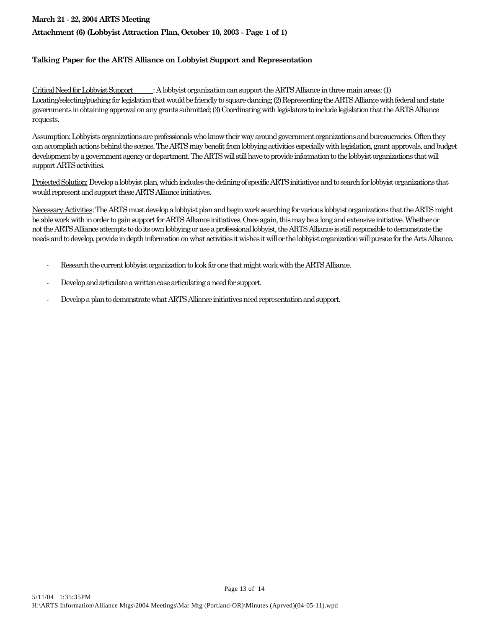# **Attachment (6) (Lobbyist Attraction Plan, October 10, 2003 - Page 1 of 1)**

## **Talking Paper for the ARTS Alliance on Lobbyist Support and Representation**

Critical Need for Lobbyist Support : A lobbyist organization can support the ARTS Alliance in three main areas: (1) Locating/selecting/pushing for legislation that would be friendly to square dancing; (2) Representing the ARTS Alliance with federal and state governments in obtaining approval on any grants submitted; (3) Coordinating with legislators to include legislation that the ARTS Alliance requests.

Assumption: Lobbyists organizations are professionals who know their way around government organizations and bureaucracies. Often they can accomplish actions behind the scenes. The ARTS may benefit from lobbying activities especially with legislation, grant approvals, and budget development by a government agency or department. The ARTS will still have to provide information to the lobbyist organizations that will support ARTS activities.

Projected Solution: Develop a lobbyist plan, which includes the defining of specific ARTS initiatives and to search for lobbyist organizations that would represent and support these ARTS Alliance initiatives.

Necessary Activities: The ARTS must develop a lobbyist plan and begin work searching for various lobbyist organizations that the ARTS might be able work with in order to gain support for ARTS Alliance initiatives. Once again, this may be a long and extensive initiative. Whether or not the ARTS Alliance attempts to do its own lobbying or use a professional lobbyist, the ARTS Alliance is still responsible to demonstrate the needs and to develop, provide in depth information on what activities it wishes it will or the lobbyist organization will pursue for the Arts Alliance.

- Research the current lobbyist organization to look for one that might work with the ARTS Alliance.
- Develop and articulate a written case articulating a need for support.
- Develop a plan to demonstrate what ARTS Alliance initiatives need representation and support.